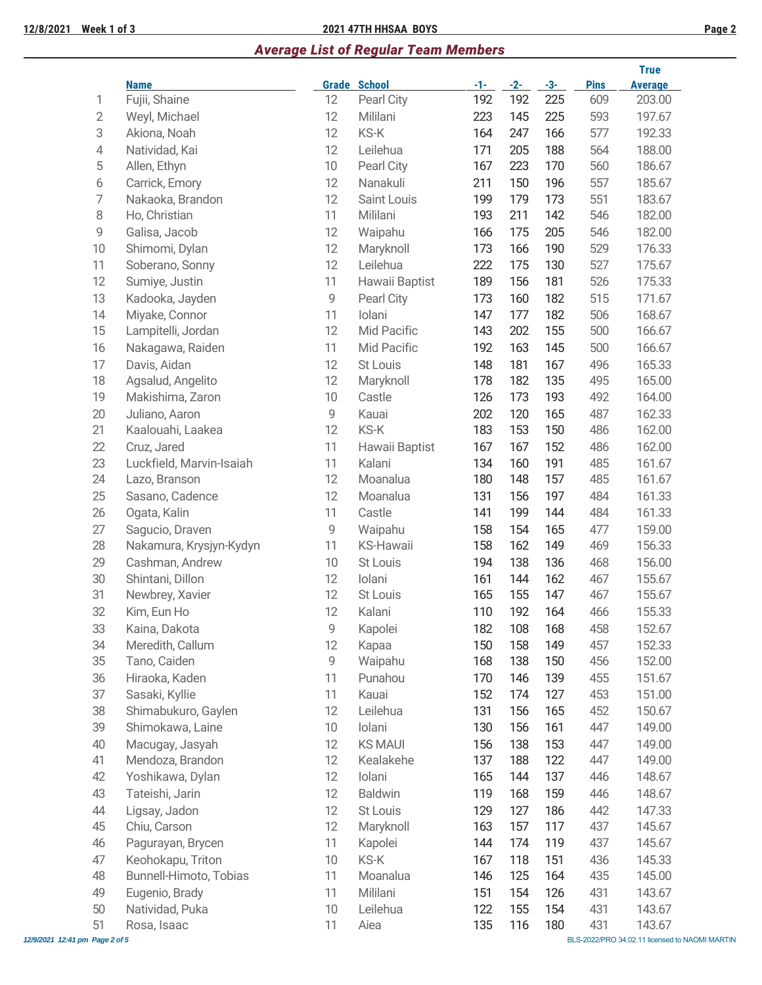## **12/8/2021 Week 1 of 3 2021 47TH HHSAA BOYS Page 2**

# *Average List of Regular Team Members*

|                |                          |              |                    |       |       |       |             | <b>True</b>    |
|----------------|--------------------------|--------------|--------------------|-------|-------|-------|-------------|----------------|
|                | <b>Name</b>              | <b>Grade</b> | <b>School</b>      | $-1-$ | $-2-$ | $-3-$ | <b>Pins</b> | <b>Average</b> |
| 1              | Fujii, Shaine            | 12           | Pearl City         | 192   | 192   | 225   | 609         | 203.00         |
| $\overline{2}$ | Weyl, Michael            | 12           | Mililani           | 223   | 145   | 225   | 593         | 197.67         |
| 3              | Akiona, Noah             | 12           | KS-K               | 164   | 247   | 166   | 577         | 192.33         |
| $\sqrt{4}$     | Natividad, Kai           | 12           | Leilehua           | 171   | 205   | 188   | 564         | 188.00         |
| $\mathbf 5$    | Allen, Ethyn             | 10           | Pearl City         | 167   | 223   | 170   | 560         | 186.67         |
| 6              | Carrick, Emory           | 12           | Nanakuli           | 211   | 150   | 196   | 557         | 185.67         |
| 7              | Nakaoka, Brandon         | 12           | <b>Saint Louis</b> | 199   | 179   | 173   | 551         | 183.67         |
| 8              | Ho, Christian            | 11           | Mililani           | 193   | 211   | 142   | 546         | 182.00         |
| 9              | Galisa, Jacob            | 12           | Waipahu            | 166   | 175   | 205   | 546         | 182.00         |
| 10             | Shimomi, Dylan           | 12           | Maryknoll          | 173   | 166   | 190   | 529         | 176.33         |
| 11             | Soberano, Sonny          | 12           | Leilehua           | 222   | 175   | 130   | 527         | 175.67         |
| 12             | Sumiye, Justin           | 11           | Hawaii Baptist     | 189   | 156   | 181   | 526         | 175.33         |
| 13             | Kadooka, Jayden          | 9            | Pearl City         | 173   | 160   | 182   | 515         | 171.67         |
| 14             | Miyake, Connor           | 11           | Iolani             | 147   | 177   | 182   | 506         | 168.67         |
| 15             | Lampitelli, Jordan       | 12           | Mid Pacific        | 143   | 202   | 155   | 500         | 166.67         |
| 16             | Nakagawa, Raiden         | 11           | Mid Pacific        | 192   | 163   | 145   | 500         | 166.67         |
| 17             | Davis, Aidan             | 12           | St Louis           | 148   | 181   | 167   | 496         | 165.33         |
| 18             | Agsalud, Angelito        | 12           | Maryknoll          | 178   | 182   | 135   | 495         | 165.00         |
| 19             | Makishima, Zaron         | 10           | Castle             | 126   | 173   | 193   | 492         | 164.00         |
| 20             | Juliano, Aaron           | 9            | Kauai              | 202   | 120   | 165   | 487         | 162.33         |
| 21             | Kaalouahi, Laakea        | 12           | KS-K               | 183   | 153   | 150   | 486         | 162.00         |
| 22             | Cruz, Jared              | 11           | Hawaii Baptist     | 167   | 167   | 152   | 486         | 162.00         |
| 23             | Luckfield, Marvin-Isaiah | 11           | Kalani             | 134   | 160   | 191   | 485         | 161.67         |
| 24             | Lazo, Branson            | 12           | Moanalua           | 180   | 148   | 157   | 485         | 161.67         |
| 25             | Sasano, Cadence          | 12           | Moanalua           | 131   | 156   | 197   | 484         | 161.33         |
| 26             | Ogata, Kalin             | 11           | Castle             | 141   | 199   | 144   | 484         | 161.33         |
| 27             | Sagucio, Draven          | 9            | Waipahu            | 158   | 154   | 165   | 477         | 159.00         |
| 28             | Nakamura, Krysjyn-Kydyn  | 11           | <b>KS-Hawaii</b>   | 158   | 162   | 149   | 469         | 156.33         |
| 29             | Cashman, Andrew          | 10           | St Louis           | 194   | 138   | 136   | 468         | 156.00         |
| 30             | Shintani, Dillon         | 12           | Iolani             | 161   | 144   | 162   | 467         | 155.67         |
| 31             | Newbrey, Xavier          | 12           | <b>St Louis</b>    | 165   | 155   | 147   | 467         | 155.67         |
| 32             | Kim, Eun Ho              | 12           | Kalani             | 110   | 192   | 164   | 466         | 155.33         |
| 33             | Kaina, Dakota            | 9            | Kapolei            | 182   | 108   | 168   | 458         | 152.67         |
| 34             | Meredith, Callum         | 12           | Kapaa              | 150   | 158   | 149   | 457         | 152.33         |
| 35             | Tano, Caiden             | 9            | Waipahu            | 168   | 138   | 150   | 456         | 152.00         |
| 36             | Hiraoka, Kaden           | 11           | Punahou            | 170   | 146   | 139   | 455         | 151.67         |
| 37             | Sasaki, Kyllie           | 11           | Kauai              | 152   | 174   | 127   | 453         | 151.00         |
| 38             | Shimabukuro, Gaylen      | 12           | Leilehua           | 131   | 156   | 165   | 452         | 150.67         |
| 39             | Shimokawa, Laine         | 10           | Iolani             | 130   | 156   | 161   | 447         | 149.00         |
| 40             | Macugay, Jasyah          | 12           | <b>KS MAUI</b>     | 156   | 138   | 153   | 447         | 149.00         |
| 41             | Mendoza, Brandon         | 12           | Kealakehe          | 137   | 188   | 122   | 447         | 149.00         |
| 42             | Yoshikawa, Dylan         | 12           | Iolani             | 165   | 144   | 137   | 446         | 148.67         |
| 43             | Tateishi, Jarin          | 12           | <b>Baldwin</b>     | 119   | 168   | 159   | 446         | 148.67         |
| 44             | Ligsay, Jadon            | 12           | St Louis           | 129   | 127   | 186   | 442         | 147.33         |
| 45             | Chiu, Carson             | 12           | Maryknoll          | 163   | 157   | 117   | 437         | 145.67         |
| 46             | Pagurayan, Brycen        | 11           | Kapolei            | 144   | 174   | 119   | 437         | 145.67         |
| 47             | Keohokapu, Triton        | 10           | KS-K               | 167   | 118   | 151   | 436         | 145.33         |
| 48             | Bunnell-Himoto, Tobias   | 11           | Moanalua           | 146   | 125   | 164   | 435         | 145.00         |
| 49             | Eugenio, Brady           | 11           | Mililani           | 151   | 154   | 126   | 431         | 143.67         |
| 50             | Natividad, Puka          | 10           | Leilehua           | 122   | 155   | 154   | 431         | 143.67         |
| 51             | Rosa, Isaac              | 11           | Aiea               | 135   | 116   | 180   | 431         | 143.67         |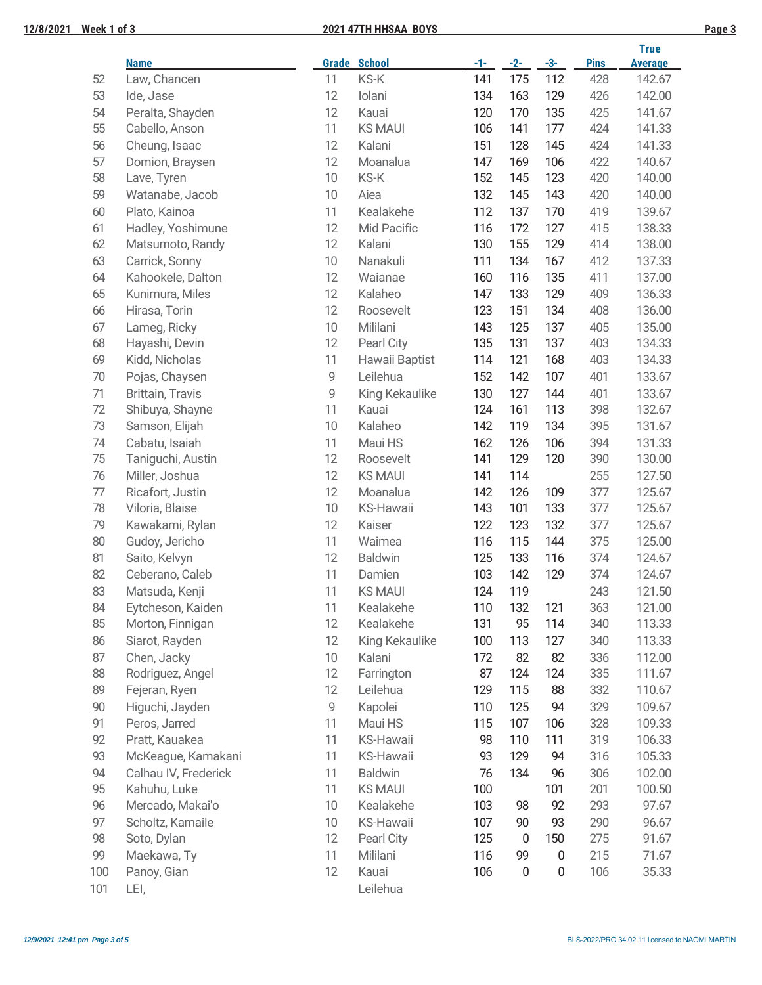## **12/8/2021 Week 1 of 3 2021 47TH HHSAA BOYS Page 3**

|--|

|        |                         |    |                     |       |                  |                  |             | <b>True</b>    |
|--------|-------------------------|----|---------------------|-------|------------------|------------------|-------------|----------------|
|        | <b>Name</b>             |    | <b>Grade School</b> | $-1-$ | $-2-$            | $-3-$            | <b>Pins</b> | <b>Average</b> |
| 52     | Law, Chancen            | 11 | KS-K                | 141   | 175              | 112              | 428         | 142.67         |
| 53     | Ide, Jase               | 12 | Iolani              | 134   | 163              | 129              | 426         | 142.00         |
| 54     | Peralta, Shayden        | 12 | Kauai               | 120   | 170              | 135              | 425         | 141.67         |
| 55     | Cabello, Anson          | 11 | <b>KS MAUI</b>      | 106   | 141              | 177              | 424         | 141.33         |
| 56     | Cheung, Isaac           | 12 | Kalani              | 151   | 128              | 145              | 424         | 141.33         |
| 57     | Domion, Braysen         | 12 | Moanalua            | 147   | 169              | 106              | 422         | 140.67         |
| 58     | Lave, Tyren             | 10 | KS-K                | 152   | 145              | 123              | 420         | 140.00         |
| 59     | Watanabe, Jacob         | 10 | Aiea                | 132   | 145              | 143              | 420         | 140.00         |
| 60     | Plato, Kainoa           | 11 | Kealakehe           | 112   | 137              | 170              | 419         | 139.67         |
| 61     | Hadley, Yoshimune       | 12 | Mid Pacific         | 116   | 172              | 127              | 415         | 138.33         |
| 62     | Matsumoto, Randy        | 12 | Kalani              | 130   | 155              | 129              | 414         | 138.00         |
| 63     | Carrick, Sonny          | 10 | Nanakuli            | 111   | 134              | 167              | 412         | 137.33         |
| 64     | Kahookele, Dalton       | 12 | Waianae             | 160   | 116              | 135              | 411         | 137.00         |
| 65     | Kunimura, Miles         | 12 | Kalaheo             | 147   | 133              | 129              | 409         | 136.33         |
| 66     | Hirasa, Torin           | 12 | Roosevelt           | 123   | 151              | 134              | 408         | 136.00         |
| 67     | Lameg, Ricky            | 10 | Mililani            | 143   | 125              | 137              | 405         | 135.00         |
| 68     | Hayashi, Devin          | 12 | Pearl City          | 135   | 131              | 137              | 403         | 134.33         |
| 69     | Kidd, Nicholas          | 11 | Hawaii Baptist      | 114   | 121              | 168              | 403         | 134.33         |
| $70$   | Pojas, Chaysen          | 9  | Leilehua            | 152   | 142              | 107              | 401         | 133.67         |
| 71     | <b>Brittain, Travis</b> | 9  | King Kekaulike      | 130   | 127              | 144              | 401         | 133.67         |
| 72     | Shibuya, Shayne         | 11 | Kauai               | 124   | 161              | 113              | 398         | 132.67         |
| 73     | Samson, Elijah          | 10 | Kalaheo             | 142   | 119              | 134              | 395         | 131.67         |
| 74     | Cabatu, Isaiah          | 11 | Maui HS             | 162   | 126              | 106              | 394         | 131.33         |
| 75     | Taniguchi, Austin       | 12 | Roosevelt           | 141   | 129              | 120              | 390         | 130.00         |
| 76     | Miller, Joshua          | 12 | <b>KS MAUI</b>      | 141   | 114              |                  | 255         | 127.50         |
| $77\,$ | Ricafort, Justin        | 12 | Moanalua            | 142   | 126              | 109              | 377         | 125.67         |
| 78     | Viloria, Blaise         | 10 | <b>KS-Hawaii</b>    | 143   | 101              | 133              | 377         | 125.67         |
| 79     | Kawakami, Rylan         | 12 | Kaiser              | 122   | 123              | 132              | 377         | 125.67         |
| 80     | Gudoy, Jericho          | 11 | Waimea              | 116   | 115              | 144              | 375         | 125.00         |
| 81     | Saito, Kelvyn           | 12 | <b>Baldwin</b>      | 125   | 133              | 116              | 374         | 124.67         |
| 82     | Ceberano, Caleb         | 11 | Damien              | 103   | 142              | 129              | 374         | 124.67         |
| 83     | Matsuda, Kenji          | 11 | <b>KS MAUI</b>      | 124   | 119              |                  | 243         | 121.50         |
| 84     | Eytcheson, Kaiden       | 11 | Kealakehe           | 110   | 132              | 121              | 363         | 121.00         |
| 85     | Morton, Finnigan        | 12 | Kealakehe           | 131   | 95               | 114              | 340         | 113.33         |
| 86     | Siarot, Rayden          | 12 | King Kekaulike      | 100   | 113              | 127              | 340         | 113.33         |
| 87     | Chen, Jacky             | 10 | Kalani              | 172   | 82               | 82               | 336         | 112.00         |
| 88     | Rodriguez, Angel        | 12 | Farrington          | 87    | 124              | 124              | 335         | 111.67         |
| 89     | Fejeran, Ryen           | 12 | Leilehua            | 129   | 115              | 88               | 332         | 110.67         |
| $90\,$ | Higuchi, Jayden         | 9  | Kapolei             | 110   | 125              | 94               | 329         | 109.67         |
| 91     | Peros, Jarred           | 11 | Maui HS             | 115   | 107              | 106              | 328         | 109.33         |
| 92     | Pratt, Kauakea          | 11 | <b>KS-Hawaii</b>    | 98    | 110              | 111              | 319         | 106.33         |
| 93     | McKeague, Kamakani      | 11 | <b>KS-Hawaii</b>    | 93    | 129              | 94               | 316         | 105.33         |
| 94     | Calhau IV, Frederick    | 11 | <b>Baldwin</b>      | 76    | 134              | 96               | 306         | 102.00         |
| 95     | Kahuhu, Luke            | 11 | <b>KS MAUI</b>      | 100   |                  | 101              | 201         | 100.50         |
| 96     | Mercado, Makai'o        | 10 | Kealakehe           | 103   | 98               | 92               | 293         | 97.67          |
| 97     | Scholtz, Kamaile        | 10 | <b>KS-Hawaii</b>    | 107   | 90               | 93               | 290         | 96.67          |
| 98     | Soto, Dylan             | 12 | Pearl City          | 125   | 0                | 150              | 275         | 91.67          |
| 99     | Maekawa, Ty             | 11 | Mililani            | 116   | 99               | $\boldsymbol{0}$ | 215         | 71.67          |
| 100    | Panoy, Gian             | 12 | Kauai               | 106   | $\boldsymbol{0}$ | 0                | 106         | 35.33          |
| 101    | LEI,                    |    | Leilehua            |       |                  |                  |             |                |
|        |                         |    |                     |       |                  |                  |             |                |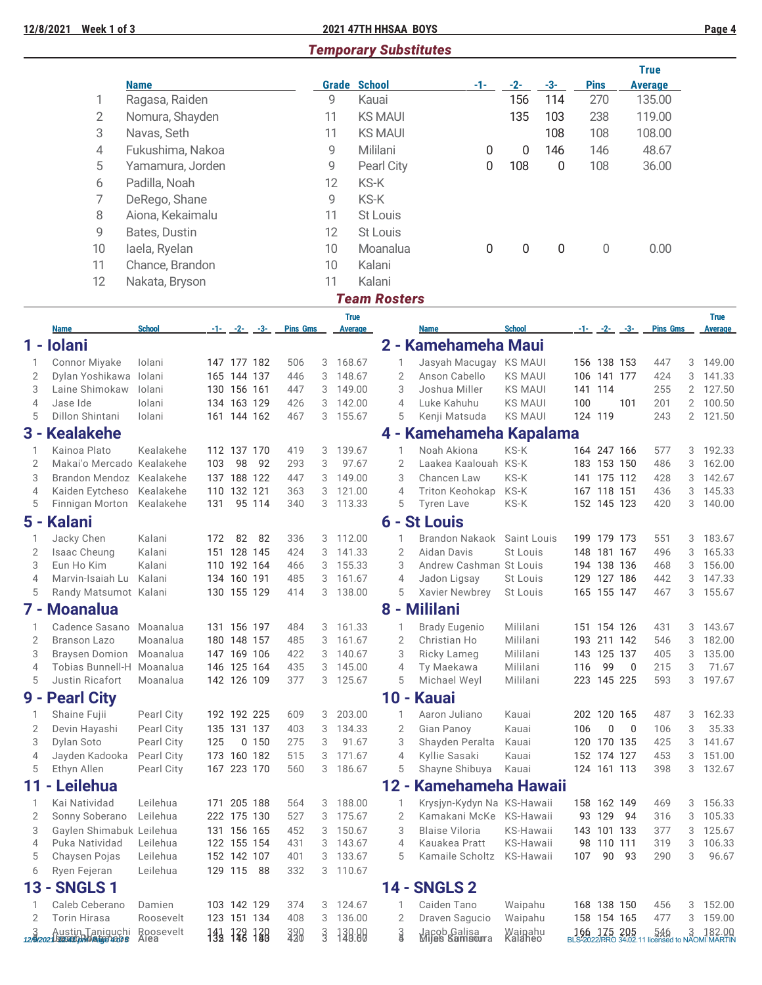### **12/8/2021 Week 1 of 3 2021 47TH HHSAA BOYS Page 4**

# *Temporary Substitutes*

|                |                                          | <b>Name</b>          |     |                            |                                  |                 |        | <b>Grade School</b> |                     | $-1-$                              | $-2-$                            | $-3-$            |         | <b>Pins</b>            |                          | <b>True</b><br><b>Average</b> |                |                  |
|----------------|------------------------------------------|----------------------|-----|----------------------------|----------------------------------|-----------------|--------|---------------------|---------------------|------------------------------------|----------------------------------|------------------|---------|------------------------|--------------------------|-------------------------------|----------------|------------------|
|                | 1                                        | Ragasa, Raiden       |     |                            |                                  |                 | 9      |                     | Kauai               |                                    | 156                              | 114              |         | 270                    |                          | 135.00                        |                |                  |
|                | $\overline{2}$                           | Nomura, Shayden      |     |                            |                                  |                 | 11     |                     | <b>KS MAUI</b>      |                                    | 135                              | 103              |         | 238                    |                          | 119.00                        |                |                  |
|                |                                          |                      |     |                            |                                  |                 |        |                     |                     |                                    |                                  |                  |         |                        |                          |                               |                |                  |
|                | 3                                        | Navas, Seth          |     |                            |                                  |                 | 11     |                     | <b>KS MAUI</b>      |                                    |                                  | 108              |         | 108                    |                          | 108.00                        |                |                  |
|                | 4                                        | Fukushima, Nakoa     |     |                            |                                  |                 | 9      |                     | Mililani            | 0                                  | $\boldsymbol{0}$                 | 146              |         | 146                    |                          | 48.67                         |                |                  |
|                | 5                                        | Yamamura, Jorden     |     |                            |                                  |                 | 9      |                     | Pearl City          | 0                                  | 108                              | $\boldsymbol{0}$ |         | 108                    |                          | 36.00                         |                |                  |
|                | 6                                        | Padilla, Noah        |     |                            |                                  |                 | 12     |                     | KS-K                |                                    |                                  |                  |         |                        |                          |                               |                |                  |
|                | 7                                        | DeRego, Shane        |     |                            |                                  |                 | 9      |                     | KS-K                |                                    |                                  |                  |         |                        |                          |                               |                |                  |
|                | 8                                        | Aiona, Kekaimalu     |     |                            |                                  |                 | 11     |                     | St Louis            |                                    |                                  |                  |         |                        |                          |                               |                |                  |
|                | 9                                        | Bates, Dustin        |     |                            |                                  |                 | 12     |                     | St Louis            |                                    |                                  |                  |         |                        |                          |                               |                |                  |
|                | 10                                       | laela, Ryelan        |     |                            |                                  |                 | 10     |                     | Moanalua            | 0                                  | 0                                | 0                |         | 0                      |                          | 0.00                          |                |                  |
|                | 11                                       | Chance, Brandon      |     |                            |                                  |                 | 10     |                     | Kalani              |                                    |                                  |                  |         |                        |                          |                               |                |                  |
|                | 12                                       |                      |     |                            |                                  |                 | 11     |                     | Kalani              |                                    |                                  |                  |         |                        |                          |                               |                |                  |
|                |                                          | Nakata, Bryson       |     |                            |                                  |                 |        |                     |                     |                                    |                                  |                  |         |                        |                          |                               |                |                  |
|                |                                          |                      |     |                            |                                  |                 |        |                     | <b>Team Rosters</b> |                                    |                                  |                  |         |                        |                          |                               |                |                  |
|                |                                          | <b>School</b>        |     |                            |                                  | <b>Pins Gms</b> |        | <b>True</b>         |                     |                                    | <b>School</b>                    |                  |         |                        | $-1 - (-2 - (-3 -$       |                               |                | <b>True</b>      |
| 1 -            | <b>Name</b><br><b>Iolani</b>             |                      |     |                            | $-1 - \frac{2}{2} - \frac{3}{2}$ |                 |        | Average             |                     | <b>Name</b><br>2 - Kamehameha Maui |                                  |                  |         |                        |                          | <b>Pins Gms</b>               |                | Average          |
|                |                                          |                      |     |                            |                                  |                 |        |                     |                     |                                    |                                  |                  |         |                        |                          |                               |                |                  |
| 1              | <b>Connor Miyake</b>                     | Iolani               |     | 147 177 182                |                                  | 506             | 3      | 168.67              |                     | Jasyah Macugay KS MAUI             |                                  |                  |         | 156 138 153            |                          | 447                           | 3              | 149.00           |
| 2<br>3         | Dylan Yoshikawa lolani<br>Laine Shimokaw | Iolani               |     | 165 144 137<br>130 156 161 |                                  | 446<br>447      | 3<br>3 | 148.67<br>149.00    | $\overline{2}$<br>3 | Anson Cabello<br>Joshua Miller     | <b>KS MAUI</b><br><b>KS MAUI</b> |                  |         | 106 141 177<br>141 114 |                          | 424<br>255                    | 3<br>2         | 141.33<br>127.50 |
| 4              | Jase Ide                                 | lolani               |     | 134 163 129                |                                  | 426             | 3      | 142.00              | 4                   | Luke Kahuhu                        | <b>KS MAUI</b>                   |                  | 100     |                        | 101                      | 201                           | $\overline{2}$ | 100.50           |
| 5              | Dillon Shintani                          | Iolani               |     | 161 144 162                |                                  | 467             |        | 3 155.67            | 5                   | Kenji Matsuda                      | <b>KS MAUI</b>                   |                  | 124 119 |                        |                          | 243                           |                | 2 121.50         |
|                | 3 - Kealakehe                            |                      |     |                            |                                  |                 |        |                     |                     | 4 - Kamehameha Kapalama            |                                  |                  |         |                        |                          |                               |                |                  |
|                | Kainoa Plato                             | Kealakehe            |     |                            |                                  |                 |        | 139.67              |                     | Noah Akiona                        | KS-K                             |                  |         | 164 247 166            |                          | 577                           |                |                  |
| 1<br>2         | Makai'o Mercado Kealakehe                |                      | 103 | 112 137 170<br>98          | 92                               | 419<br>293      | 3<br>3 | 97.67               | 2                   | Laakea Kaalouah KS-K               |                                  |                  |         | 183 153 150            |                          | 486                           | 3<br>3         | 192.33<br>162.00 |
| 3              | Brandon Mendoz Kealakehe                 |                      |     | 137 188 122                |                                  | 447             | 3      | 149.00              | 3                   | Chancen Law                        | KS-K                             |                  |         | 141 175 112            |                          | 428                           | 3              | 142.67           |
| 4              | Kaiden Eytcheso Kealakehe                |                      |     | 110 132 121                |                                  | 363             | 3      | 121.00              | $\overline{4}$      | Triton Keohokap                    | KS-K                             |                  |         | 167 118 151            |                          | 436                           | 3              | 145.33           |
| 5              | Finnigan Morton                          | Kealakehe            | 131 |                            | 95 114                           | 340             | 3      | 113.33              | 5                   | <b>Tyren Lave</b>                  | KS-K                             |                  |         | 152 145 123            |                          | 420                           |                | 3 140.00         |
|                | 5 - Kalani                               |                      |     |                            |                                  |                 |        |                     |                     | <b>6 - St Louis</b>                |                                  |                  |         |                        |                          |                               |                |                  |
| 1              | Jacky Chen                               | Kalani               | 172 | 82                         | 82                               | 336             | 3      | 112.00              | 1                   | <b>Brandon Nakaok</b>              | Saint Louis                      |                  |         | 199 179 173            |                          | 551                           | 3              | 183.67           |
| 2              | Isaac Cheung                             | Kalani               |     | 151 128 145                |                                  | 424             | 3      | 141.33              | $\overline{2}$      | Aidan Davis                        | St Louis                         |                  |         | 148 181 167            |                          | 496                           | 3              | 165.33           |
| 3              | Eun Ho Kim                               | Kalani               |     | 110 192 164                |                                  | 466             |        | 3 155.33            | 3                   | Andrew Cashman St Louis            |                                  |                  |         | 194 138 136            |                          | 468                           | 3              | 156.00           |
| 4              | Marvin-Isaiah Lu                         | Kalani               |     | 134 160 191                |                                  | 485             | 3      | 161.67              | 4                   | Jadon Ligsay                       | St Louis                         |                  |         | 129 127 186            |                          | 442                           | 3              | 147.33           |
| 5              | Randy Matsumot Kalani                    |                      |     | 130 155 129                |                                  | 414             | 3      | 138.00              | 5                   | Xavier Newbrey                     | St Louis                         |                  |         | 165 155 147            |                          | 467                           | 3              | 155.67           |
|                | 7 - Moanalua                             |                      |     |                            |                                  |                 |        |                     |                     | 8 - Mililani                       |                                  |                  |         |                        |                          |                               |                |                  |
| 1              | Cadence Sasano                           | Moanalua             |     | 131 156 197                |                                  | 484             | 3      | 161.33              | 1                   | <b>Brady Eugenio</b>               | Mililani                         |                  |         | 151 154 126            |                          | 431                           | 3              | 143.67           |
| 2              | <b>Branson Lazo</b>                      | Moanalua             |     | 180 148 157                |                                  | 485             | 3      | 161.67              | 2                   | Christian Ho                       | Mililani                         |                  |         | 193 211 142            |                          | 546                           | 3              | 182.00           |
| 3              | Braysen Domion Moanalua                  |                      |     | 147 169 106                |                                  | 422             | 3      | 140.67              | 3                   | Ricky Lameg                        | Mililani                         |                  |         | 143 125 137            |                          | 405                           | 3              | 135.00           |
| 4              | Tobias Bunnell-H Moanalua                |                      |     | 146 125 164                |                                  | 435             | 3      | 145.00              | 4                   | Ty Maekawa                         | Mililani                         |                  | 116     | 99                     | 0                        | 215                           | 3              | 71.67            |
| 5              | Justin Ricafort                          | Moanalua             |     | 142 126 109                |                                  | 377             | 3      | 125.67              | 5                   | Michael Weyl                       | Mililani                         |                  |         | 223 145 225            |                          | 593                           | 3              | 197.67           |
| $9 -$          | <b>Pearl City</b>                        |                      |     |                            |                                  |                 |        |                     |                     | 10 - Kauai                         |                                  |                  |         |                        |                          |                               |                |                  |
| 1              | Shaine Fujii                             | Pearl City           |     | 192 192 225                |                                  | 609             | 3      | 203.00              |                     | Aaron Juliano                      | Kauai                            |                  |         | 202 120 165            |                          | 487                           | 3              | 162.33           |
| 2              | Devin Hayashi                            | Pearl City           |     | 135 131 137                |                                  | 403             | 3      | 134.33              | 2                   | Gian Panoy                         | Kauai                            |                  | 106     | 0                      | $\overline{\phantom{0}}$ | 106                           | 3              | 35.33            |
| 3              | Dylan Soto                               | Pearl City           | 125 |                            | 0 150                            | 275             | 3      | 91.67               | 3                   | Shayden Peralta                    | Kauai                            |                  |         | 120 170 135            |                          | 425                           | 3              | 141.67           |
| $\overline{4}$ | Jayden Kadooka                           | Pearl City           |     | 173 160 182                |                                  | 515             | 3      | 171.67              | 4                   | Kyllie Sasaki                      | Kauai                            |                  |         | 152 174 127            |                          | 453                           | 3              | 151.00           |
| 5              | Ethyn Allen                              | Pearl City           |     | 167 223 170                |                                  | 560             | 3      | 186.67              | 5                   | Shayne Shibuya                     | Kauai                            |                  |         | 124 161 113            |                          | 398                           | 3              | 132.67           |
| 11             | Leilehua                                 |                      |     |                            |                                  |                 |        |                     | $12 -$              | Kamehameha Hawaii                  |                                  |                  |         |                        |                          |                               |                |                  |
| 1              | Kai Natividad                            | Leilehua             |     | 171 205 188                |                                  | 564             | 3      | 188.00              |                     | Krysjyn-Kydyn Na KS-Hawaii         |                                  |                  |         | 158 162 149            |                          | 469                           | 3              | 156.33           |
| 2              | Sonny Soberano                           | Leilehua             |     | 222 175 130                |                                  | 527             | 3      | 175.67              | 2                   | Kamakani McKe KS-Hawaii            |                                  |                  |         | 93 129 94              |                          | 316                           | 3              | 105.33           |
| 3              | Gaylen Shimabuk Leilehua                 |                      |     | 131 156 165                |                                  | 452             | 3      | 150.67              | 3                   | <b>Blaise Viloria</b>              | KS-Hawaii                        |                  |         | 143 101 133            |                          | 377                           | 3              | 125.67           |
| 4<br>5         | Puka Natividad                           | Leilehua<br>Leilehua |     | 122 155 154<br>152 142 107 |                                  | 431             | 3      | 143.67<br>133.67    | 4<br>5              | Kauakea Pratt<br>Kamaile Scholtz   | KS-Hawaii                        |                  | 107     | 98 110 111             | 90 93                    | 319<br>290                    | 3<br>3         | 106.33<br>96.67  |
| 6              | Chaysen Pojas<br>Ryen Fejeran            | Leilehua             |     | 129 115 88                 |                                  | 401<br>332      | 3      | 3 110.67            |                     |                                    | KS-Hawaii                        |                  |         |                        |                          |                               |                |                  |
|                |                                          |                      |     |                            |                                  |                 |        |                     |                     |                                    |                                  |                  |         |                        |                          |                               |                |                  |
| $13 -$         | <b>SNGLS1</b>                            |                      |     |                            |                                  |                 |        |                     |                     | <b>14 - SNGLS 2</b>                |                                  |                  |         |                        |                          |                               |                |                  |
| 1              | Caleb Ceberano                           | Damien               |     | 103 142 129                |                                  | 374             |        | 3 124.67            |                     | Caiden Tano                        | Waipahu                          |                  |         |                        | 168 138 150              | 456                           |                | 3 152.00         |

| <u> 13 - SNULS I</u>                                           |           |  |             |  |                                      | <u> 14 - SNULS Z</u>                                     |         |  |  |                                                                            |
|----------------------------------------------------------------|-----------|--|-------------|--|--------------------------------------|----------------------------------------------------------|---------|--|--|----------------------------------------------------------------------------|
| Caleb Ceberano Damien                                          |           |  |             |  | 103 142 129 374 3 124.67             | Caiden Tano                                              | Waipahu |  |  | 168 138 150 456 3 152.00                                                   |
| 2 Torin Hirasa                                                 | Roosevelt |  | 123 151 134 |  | 408 3 136.00                         | 2 Draven Sagucio Waipahu                                 |         |  |  | 158 154 165 477 3 159.00                                                   |
| 3 Austin Taniguchi Roosevelt<br>12420215123000mWBananobic Alea |           |  |             |  | $133$ $122$ $129$ $390$ $3$ $139.99$ | 3 Jacob Galisa - Waipahu<br>8 - Mijas Kamsoura - Kalaheo |         |  |  | 166 175 205 546 3 182.00<br>BLS-2022/RRO 34:02.11 licensed to NAOMI MARTIN |